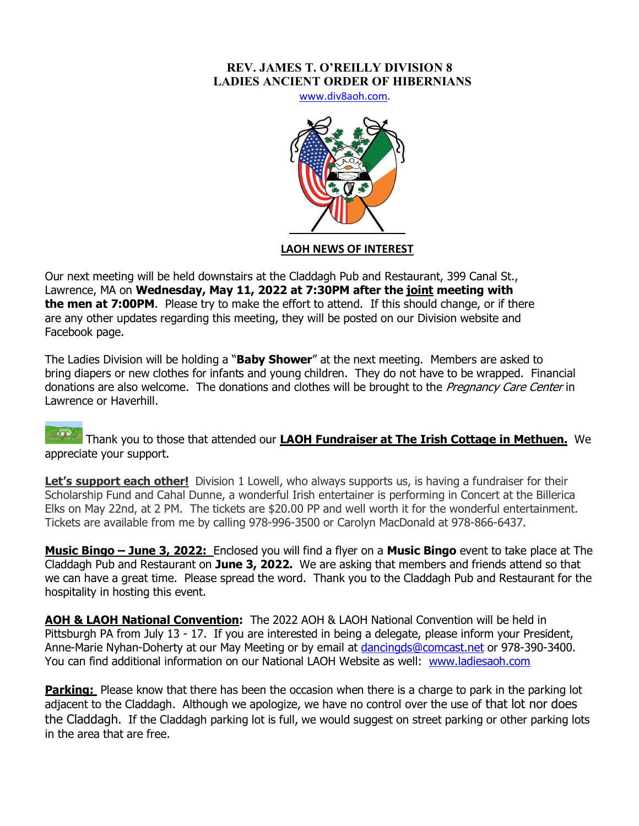## **REV. JAMES T. O'REILLY DIVISION 8 LADIES ANCIENT ORDER OF HIBERNIANS**

www.div8aoh.com.



## **LAOH NEWS OF INTEREST**

Our next meeting will be held downstairs at the Claddagh Pub and Restaurant, 399 Canal St., Lawrence, MA on **Wednesday, May 11, 2022 at 7:30PM after the joint meeting with the men at 7:00PM**. Please try to make the effort to attend. If this should change, or if there are any other updates regarding this meeting, they will be posted on our Division website and Facebook page.

The Ladies Division will be holding a "**Baby Shower**" at the next meeting. Members are asked to bring diapers or new clothes for infants and young children. They do not have to be wrapped. Financial donations are also welcome. The donations and clothes will be brought to the Pregnancy Care Center in Lawrence or Haverhill.

Thank you to those that attended our **LAOH Fundraiser at The Irish Cottage in Methuen.** We appreciate your support.

**Let's support each other!** Division 1 Lowell, who always supports us, is having a fundraiser for their Scholarship Fund and Cahal Dunne, a wonderful Irish entertainer is performing in Concert at the Billerica Elks on May 22nd, at 2 PM. The tickets are \$20.00 PP and well worth it for the wonderful entertainment. Tickets are available from me by calling 978-996-3500 or Carolyn MacDonald at 978-866-6437.

**Music Bingo – June 3, 2022:** Enclosed you will find a flyer on a **Music Bingo** event to take place at The Claddagh Pub and Restaurant on **June 3, 2022.** We are asking that members and friends attend so that we can have a great time. Please spread the word. Thank you to the Claddagh Pub and Restaurant for the hospitality in hosting this event.

**AOH & LAOH National Convention:** The 2022 AOH & LAOH National Convention will be held in Pittsburgh PA from July 13 - 17. If you are interested in being a delegate, please inform your President, Anne-Marie Nyhan-Doherty at our May Meeting or by email at dancingds@comcast.net or 978-390-3400. You can find additional information on our National LAOH Website as well: www.ladiesaoh.com

**Parking:** Please know that there has been the occasion when there is a charge to park in the parking lot adjacent to the Claddagh. Although we apologize, we have no control over the use of that lot nor does the Claddagh. If the Claddagh parking lot is full, we would suggest on street parking or other parking lots in the area that are free.